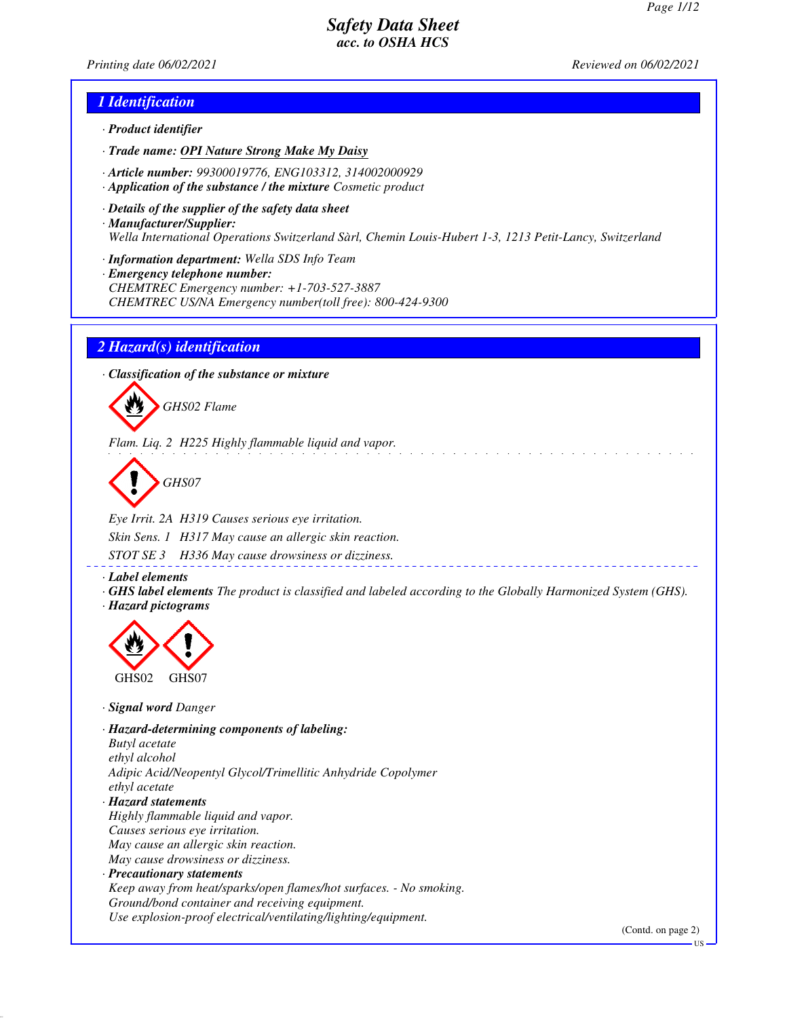*Printing date 06/02/2021 Reviewed on 06/02/2021*

### *1 Identification*

- *· Product identifier*
- *· Trade name: OPI Nature Strong Make My Daisy*
- *· Article number: 99300019776, ENG103312, 314002000929*
- *· Application of the substance / the mixture Cosmetic product*
- *· Details of the supplier of the safety data sheet · Manufacturer/Supplier: Wella International Operations Switzerland Sàrl, Chemin Louis-Hubert 1-3, 1213 Petit-Lancy, Switzerland*
- *· Information department: Wella SDS Info Team*
- *· Emergency telephone number: CHEMTREC Emergency number: +1-703-527-3887 CHEMTREC US/NA Emergency number(toll free): 800-424-9300*

### *2 Hazard(s) identification*

*· Classification of the substance or mixture*



*Flam. Liq. 2 H225 Highly flammable liquid and vapor.*

*GHS07*

*Eye Irrit. 2A H319 Causes serious eye irritation. Skin Sens. 1 H317 May cause an allergic skin reaction. STOT SE 3 H336 May cause drowsiness or dizziness.*

*· Label elements*

*· GHS label elements The product is classified and labeled according to the Globally Harmonized System (GHS). · Hazard pictograms*



*· Signal word Danger*

*· Hazard-determining components of labeling: Butyl acetate ethyl alcohol Adipic Acid/Neopentyl Glycol/Trimellitic Anhydride Copolymer ethyl acetate · Hazard statements Highly flammable liquid and vapor. Causes serious eye irritation. May cause an allergic skin reaction. May cause drowsiness or dizziness. · Precautionary statements*

*Keep away from heat/sparks/open flames/hot surfaces. - No smoking. Ground/bond container and receiving equipment. Use explosion-proof electrical/ventilating/lighting/equipment.*

(Contd. on page 2)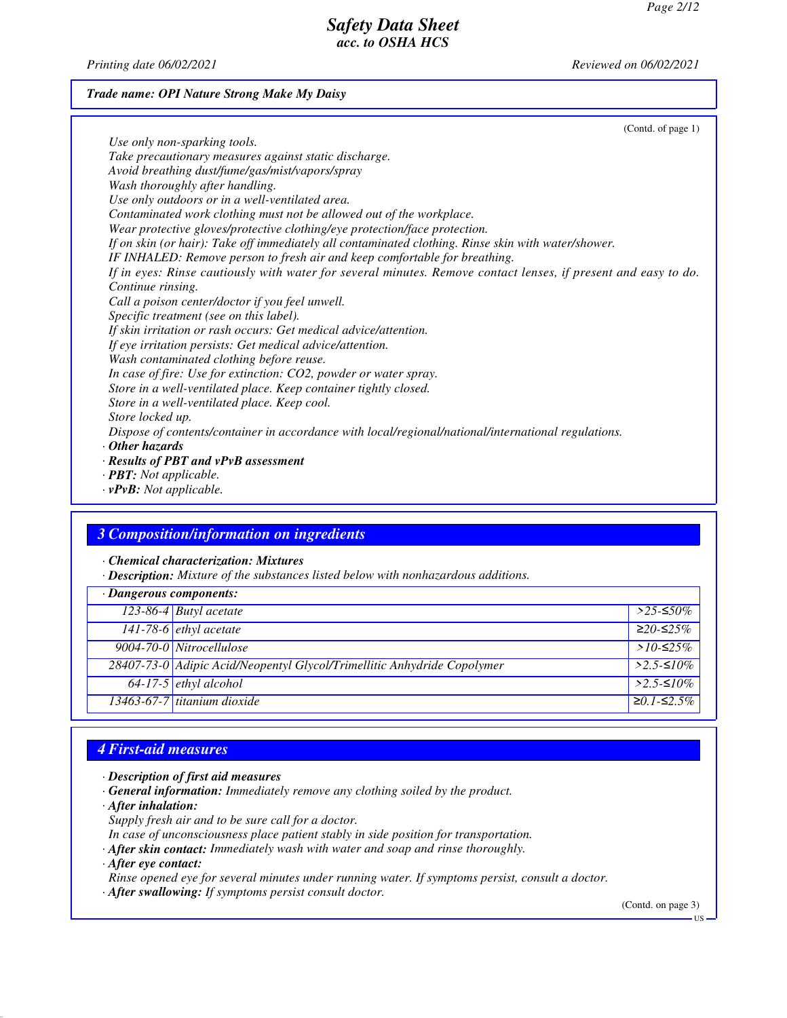*Printing date 06/02/2021 Reviewed on 06/02/2021*

#### *Trade name: OPI Nature Strong Make My Daisy*

(Contd. of page 1) *Use only non-sparking tools. Take precautionary measures against static discharge. Avoid breathing dust/fume/gas/mist/vapors/spray Wash thoroughly after handling. Use only outdoors or in a well-ventilated area. Contaminated work clothing must not be allowed out of the workplace. Wear protective gloves/protective clothing/eye protection/face protection. If on skin (or hair): Take off immediately all contaminated clothing. Rinse skin with water/shower. IF INHALED: Remove person to fresh air and keep comfortable for breathing. If in eyes: Rinse cautiously with water for several minutes. Remove contact lenses, if present and easy to do. Continue rinsing. Call a poison center/doctor if you feel unwell. Specific treatment (see on this label). If skin irritation or rash occurs: Get medical advice/attention. If eye irritation persists: Get medical advice/attention. Wash contaminated clothing before reuse. In case of fire: Use for extinction: CO2, powder or water spray. Store in a well-ventilated place. Keep container tightly closed. Store in a well-ventilated place. Keep cool. Store locked up. Dispose of contents/container in accordance with local/regional/national/international regulations. · Other hazards · Results of PBT and vPvB assessment · PBT: Not applicable.*

*· vPvB: Not applicable.*

### *3 Composition/information on ingredients*

*· Chemical characterization: Mixtures*

*· Description: Mixture of the substances listed below with nonhazardous additions.*

| $\cdot$ Dangerous components: |                                                                         |                     |
|-------------------------------|-------------------------------------------------------------------------|---------------------|
|                               | 123-86-4 Butyl acetate                                                  | $>$ 25-≤50%         |
|                               | $141-78-6$ ethyl acetate                                                | $≥20-≤25%$          |
|                               | 9004-70-0 Nitrocellulose                                                | > $10$ -≤25%        |
|                               | 28407-73-0 Adipic Acid/Neopentyl Glycol/Trimellitic Anhydride Copolymer | $>2.5-10\%$         |
|                               | $\sqrt{64-17-5}$ ethyl alcohol                                          | $>2.5-10\%$         |
|                               | 13463-67-7 titanium dioxide                                             | $\geq 0.1 - 52.5\%$ |

### *4 First-aid measures*

- *· Description of first aid measures*
- *· General information: Immediately remove any clothing soiled by the product.*
- *· After inhalation:*
- *Supply fresh air and to be sure call for a doctor.*
- *In case of unconsciousness place patient stably in side position for transportation.*
- *· After skin contact: Immediately wash with water and soap and rinse thoroughly.*
- *· After eye contact:*

*Rinse opened eye for several minutes under running water. If symptoms persist, consult a doctor.*

*· After swallowing: If symptoms persist consult doctor.*

(Contd. on page 3)

US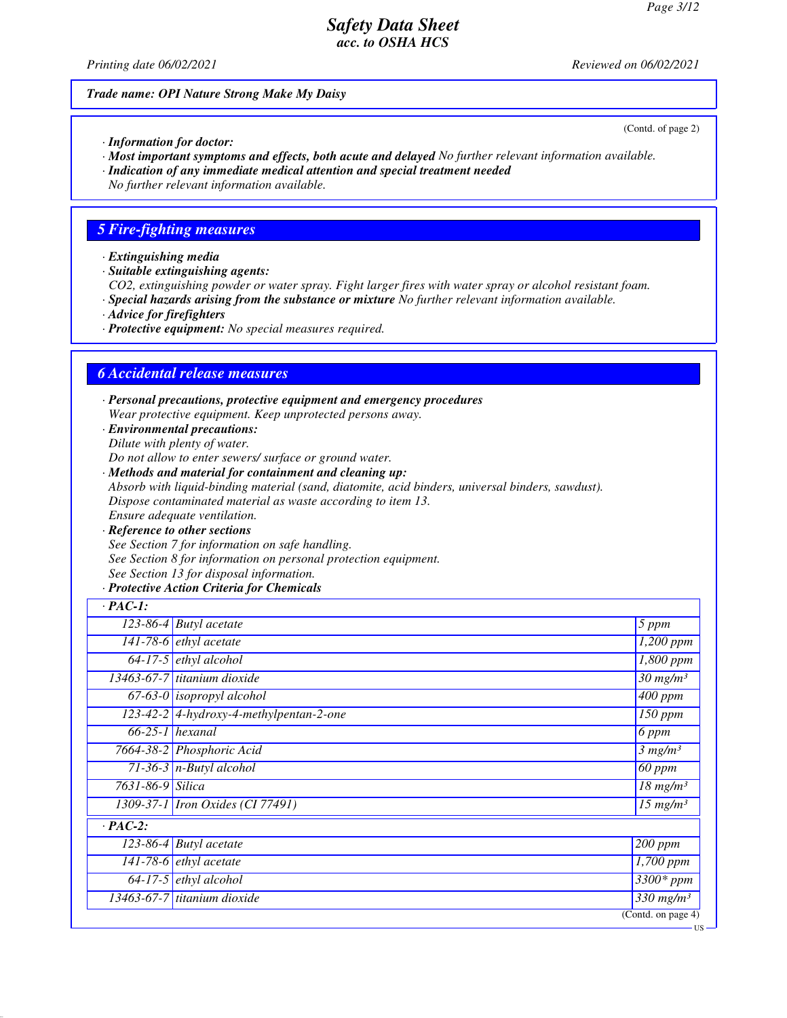*Printing date 06/02/2021 Reviewed on 06/02/2021*

*Trade name: OPI Nature Strong Make My Daisy*

(Contd. of page 2)

US

- *· Information for doctor:*
- *· Most important symptoms and effects, both acute and delayed No further relevant information available.*
- *· Indication of any immediate medical attention and special treatment needed*
- *No further relevant information available.*

## *5 Fire-fighting measures*

- *· Extinguishing media*
- *· Suitable extinguishing agents:*
- *CO2, extinguishing powder or water spray. Fight larger fires with water spray or alcohol resistant foam.*
- *· Special hazards arising from the substance or mixture No further relevant information available.*
- *· Advice for firefighters*
- *· Protective equipment: No special measures required.*

## *6 Accidental release measures*

- *· Personal precautions, protective equipment and emergency procedures Wear protective equipment. Keep unprotected persons away.*
- *· Environmental precautions: Dilute with plenty of water.*
- *Do not allow to enter sewers/ surface or ground water.*
- *· Methods and material for containment and cleaning up: Absorb with liquid-binding material (sand, diatomite, acid binders, universal binders, sawdust). Dispose contaminated material as waste according to item 13. Ensure adequate ventilation.*
- *· Reference to other sections See Section 7 for information on safe handling. See Section 8 for information on personal protection equipment. See Section 13 for disposal information.*
- *· Protective Action Criteria for Chemicals*

| $\cdot$ PAC-1:   |                                         |                                        |
|------------------|-----------------------------------------|----------------------------------------|
|                  | $\overline{123}$ -86-4 Butyl acetate    | 5 ppm                                  |
|                  | 141-78-6 $ethyl$ acetate                | $\overline{1,200}$ ppm                 |
|                  | $64-17-5$ ethyl alcohol                 | 1,800 ppm                              |
|                  | $13463-67-7$ titanium dioxide           | $\overline{30}$ mg/m <sup>3</sup>      |
|                  | $\overline{67-63-0}$ isopropyl alcohol  | $\overline{400}$ ppm                   |
|                  | 123-42-2 4-hydroxy-4-methylpentan-2-one | $\overline{150}$ ppm                   |
|                  | $66-25-1$ hexanal                       | $6$ ppm                                |
|                  | 7664-38-2 Phosphoric Acid               | 3 mg/m <sup>3</sup>                    |
|                  | 71-36-3 $n$ -Butyl alcohol              | $\overline{60}$ ppm                    |
| 7631-86-9 Silica |                                         | $\overline{18}$ mg/m <sup>3</sup>      |
|                  | 1309-37-1 <i>Iron Oxides</i> (CI 77491) | $\overline{15 \ m}g/m^3$               |
| $\cdot$ PAC-2:   |                                         |                                        |
|                  | $123-86-4$ Butyl acetate                | $\sqrt{200}$ ppm                       |
|                  | 141-78-6 $ethyl$ acetate                | 1,700 ppm                              |
|                  | $64-17-5$ ethyl alcohol                 | $3300*$ ppm                            |
|                  | 13463-67-7 titanium dioxide             | $\frac{330}{3}$ mg/m <sup>3</sup>      |
|                  |                                         | $\overline{(\text{Contd. on page 4})}$ |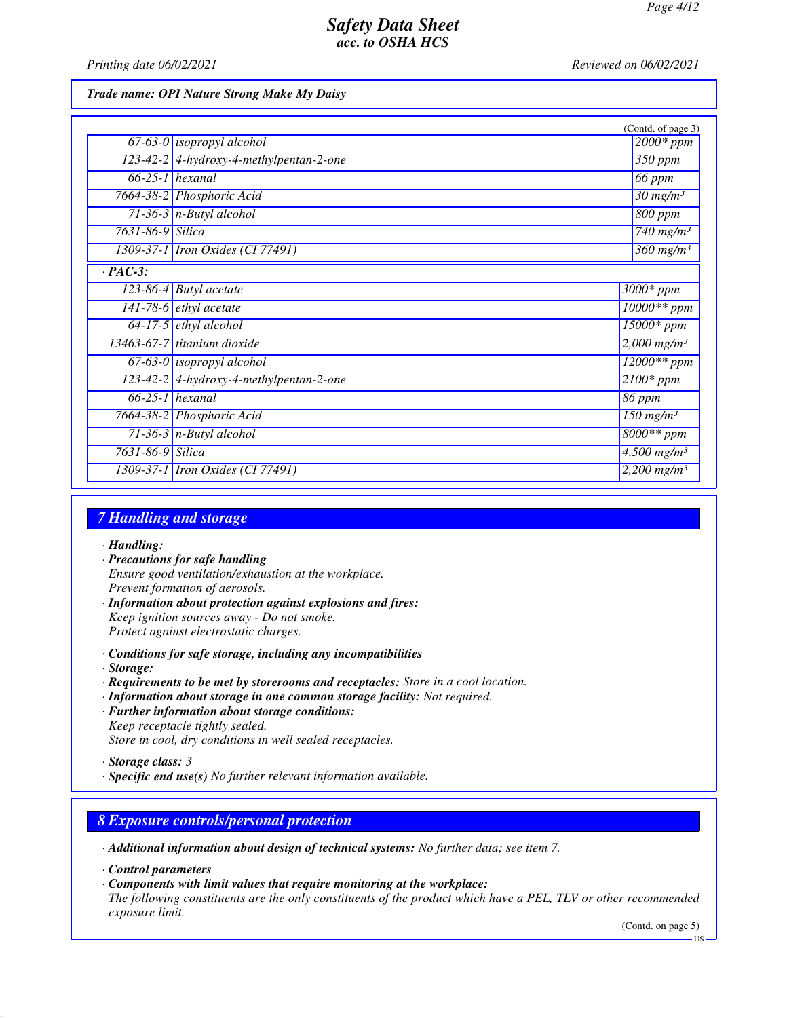*Printing date 06/02/2021 Reviewed on 06/02/2021*

*Trade name: OPI Nature Strong Make My Daisy*

|                  |                                           | (Contd. of page 3)                   |
|------------------|-------------------------------------------|--------------------------------------|
|                  | $67-63-0$ isopropyl alcohol               | $2000*$ ppm                          |
|                  | $123-42-2$ 4-hydroxy-4-methylpentan-2-one | 350 ppm                              |
|                  | $66-25-1$ hexanal                         | 66 ppm                               |
|                  | 7664-38-2 Phosphoric Acid                 | $30$ mg/m <sup>3</sup>               |
|                  | $71-36-3$ n-Butyl alcohol                 | $800$ ppm                            |
| 7631-86-9 Silica |                                           | $\overline{7}40$ mg/m <sup>3</sup>   |
|                  | 1309-37-1 Iron Oxides (CI 77491)          | $\frac{360 \text{ mg}}{m}$           |
| $\cdot$ PAC-3:   |                                           |                                      |
|                  | 123-86-4 Butyl acetate                    | $3000*$ ppm                          |
|                  | 141-78-6 $ethyl$ acetate                  | $10000**$ ppm                        |
|                  | $64-17-5$ ethyl alcohol                   | $\overline{15000}$ * ppm             |
|                  | 13463-67-7 titanium dioxide               | $2,000$ mg/m <sup>3</sup>            |
|                  | $67-63-0$ isopropyl alcohol               | $12000**$ ppm                        |
|                  | 123-42-2 4-hydroxy-4-methylpentan-2-one   | $\overline{2100*ppm}$                |
|                  | $66-25-1$ hexanal                         | 86 ppm                               |
|                  | 7664-38-2 Phosphoric Acid                 | $150$ mg/m <sup>3</sup>              |
|                  | 71-36-3 $n$ -Butyl alcohol                | $8000**$ ppm                         |
| 7631-86-9 Silica |                                           | $\overline{4,}500$ mg/m <sup>3</sup> |
|                  | 1309-37-1 <i>Iron Oxides</i> (CI 77491)   | $2,200$ mg/m <sup>3</sup>            |

## *7 Handling and storage*

- *· Handling:*
- *· Precautions for safe handling Ensure good ventilation/exhaustion at the workplace. Prevent formation of aerosols.*
- *· Information about protection against explosions and fires: Keep ignition sources away - Do not smoke. Protect against electrostatic charges.*
- *· Conditions for safe storage, including any incompatibilities*
- *· Storage:*
- *· Requirements to be met by storerooms and receptacles: Store in a cool location.*
- *· Information about storage in one common storage facility: Not required.*
- *· Further information about storage conditions: Keep receptacle tightly sealed. Store in cool, dry conditions in well sealed receptacles.*
- *· Storage class: 3*
- *· Specific end use(s) No further relevant information available.*

## *8 Exposure controls/personal protection*

*· Additional information about design of technical systems: No further data; see item 7.*

*· Control parameters*

*· Components with limit values that require monitoring at the workplace:*

*The following constituents are the only constituents of the product which have a PEL, TLV or other recommended exposure limit.*

(Contd. on page 5)

US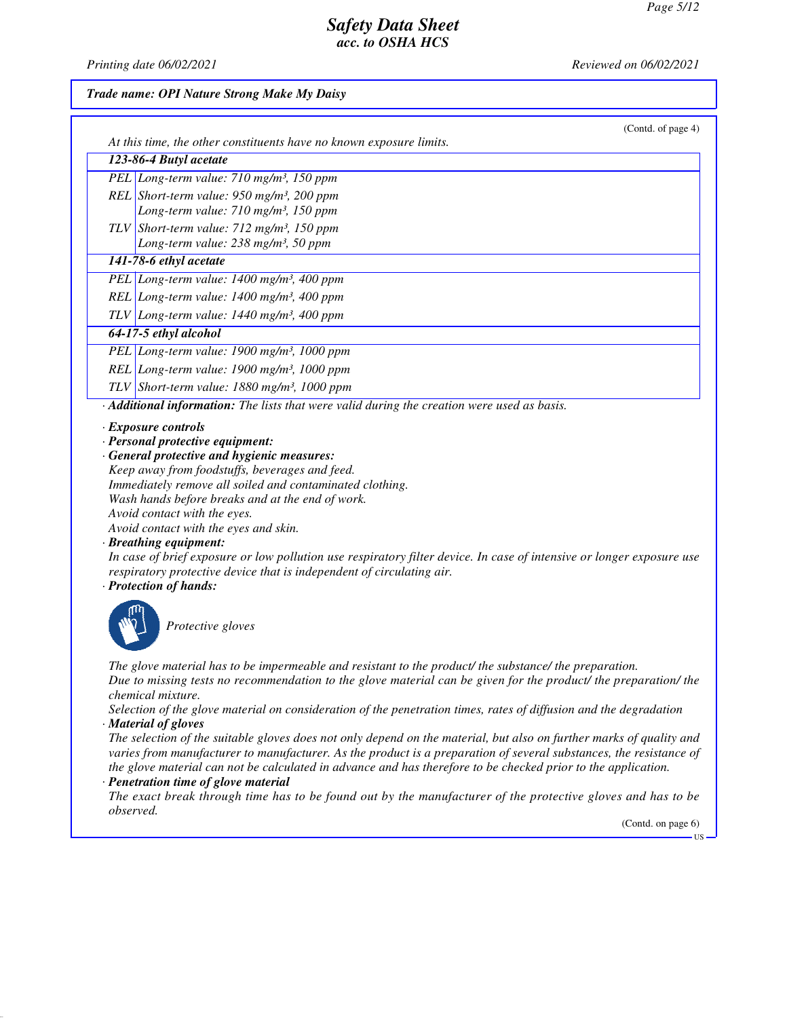*Printing date 06/02/2021 Reviewed on 06/02/2021*

### *Trade name: OPI Nature Strong Make My Daisy*

| (Contd. of page 4)<br>At this time, the other constituents have no known exposure limits.                                                                                                                                                                                                                                                                                                                                                                                                                                                                                                                     |
|---------------------------------------------------------------------------------------------------------------------------------------------------------------------------------------------------------------------------------------------------------------------------------------------------------------------------------------------------------------------------------------------------------------------------------------------------------------------------------------------------------------------------------------------------------------------------------------------------------------|
| 123-86-4 Butyl acetate                                                                                                                                                                                                                                                                                                                                                                                                                                                                                                                                                                                        |
| PEL Long-term value: 710 mg/m <sup>3</sup> , 150 ppm                                                                                                                                                                                                                                                                                                                                                                                                                                                                                                                                                          |
| REL Short-term value: $950$ mg/m <sup>3</sup> , 200 ppm<br>Long-term value: 710 mg/m <sup>3</sup> , 150 ppm                                                                                                                                                                                                                                                                                                                                                                                                                                                                                                   |
| TLV Short-term value: $712 \text{ mg/m}^3$ , 150 ppm<br>Long-term value: 238 mg/m <sup>3</sup> , 50 ppm                                                                                                                                                                                                                                                                                                                                                                                                                                                                                                       |
| 141-78-6 ethyl acetate                                                                                                                                                                                                                                                                                                                                                                                                                                                                                                                                                                                        |
| PEL Long-term value: $1400$ mg/m <sup>3</sup> , 400 ppm                                                                                                                                                                                                                                                                                                                                                                                                                                                                                                                                                       |
| REL Long-term value: 1400 mg/m <sup>3</sup> , 400 ppm                                                                                                                                                                                                                                                                                                                                                                                                                                                                                                                                                         |
| TLV Long-term value: $1440$ mg/m <sup>3</sup> , 400 ppm                                                                                                                                                                                                                                                                                                                                                                                                                                                                                                                                                       |
| 64-17-5 ethyl alcohol                                                                                                                                                                                                                                                                                                                                                                                                                                                                                                                                                                                         |
| PEL Long-term value: 1900 mg/m <sup>3</sup> , 1000 ppm                                                                                                                                                                                                                                                                                                                                                                                                                                                                                                                                                        |
| REL Long-term value: 1900 mg/m <sup>3</sup> , 1000 ppm                                                                                                                                                                                                                                                                                                                                                                                                                                                                                                                                                        |
| TLV Short-term value: $1880$ mg/m <sup>3</sup> , 1000 ppm                                                                                                                                                                                                                                                                                                                                                                                                                                                                                                                                                     |
| · Additional information: The lists that were valid during the creation were used as basis.                                                                                                                                                                                                                                                                                                                                                                                                                                                                                                                   |
| $\cdot$ Exposure controls<br>· Personal protective equipment:<br>· General protective and hygienic measures:<br>Keep away from foodstuffs, beverages and feed.<br>Immediately remove all soiled and contaminated clothing.<br>Wash hands before breaks and at the end of work.<br>Avoid contact with the eyes.<br>Avoid contact with the eyes and skin.<br>· Breathing equipment:<br>In case of brief exposure or low pollution use respiratory filter device. In case of intensive or longer exposure use<br>respiratory protective device that is independent of circulating air.<br>· Protection of hands: |
| Protective gloves                                                                                                                                                                                                                                                                                                                                                                                                                                                                                                                                                                                             |
| The glove material has to be impermeable and resistant to the product/ the substance/ the preparation.<br>David alle se della conservazione della della chera modella con la chera fra di consolata di la socializzazion                                                                                                                                                                                                                                                                                                                                                                                      |

*Due to missing tests no recommendation to the glove material can be given for the product/ the preparation/ the chemical mixture.*

*Selection of the glove material on consideration of the penetration times, rates of diffusion and the degradation · Material of gloves*

*The selection of the suitable gloves does not only depend on the material, but also on further marks of quality and varies from manufacturer to manufacturer. As the product is a preparation of several substances, the resistance of the glove material can not be calculated in advance and has therefore to be checked prior to the application.*

#### *· Penetration time of glove material*

*The exact break through time has to be found out by the manufacturer of the protective gloves and has to be observed.*

US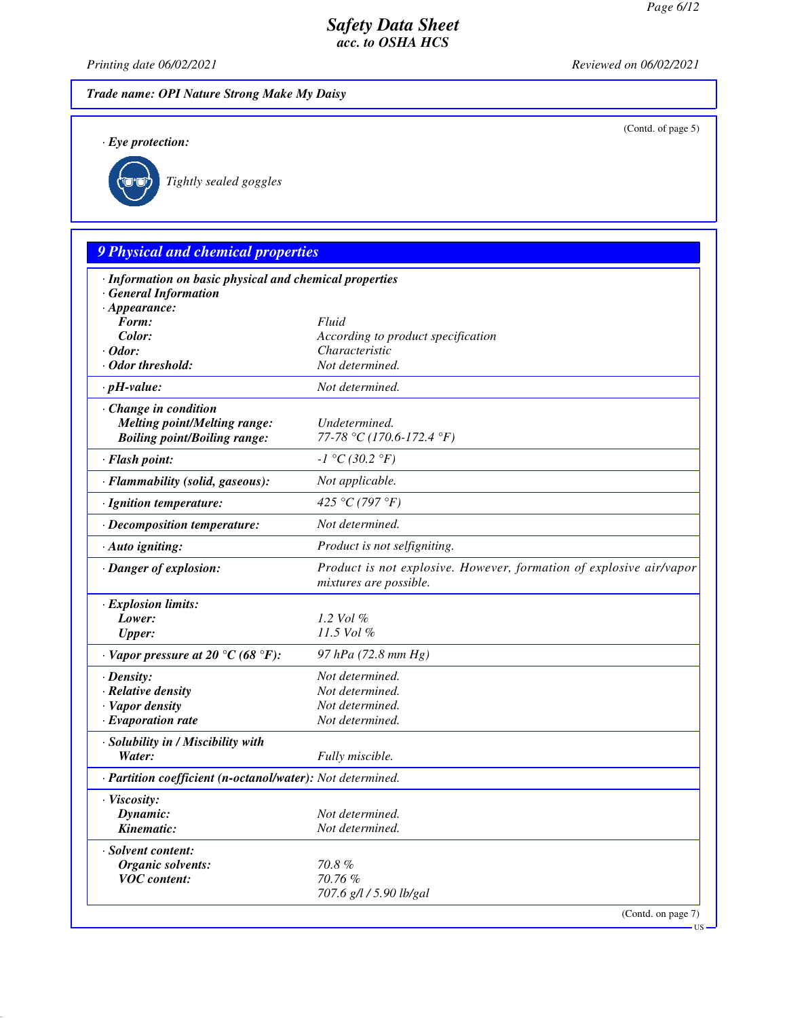(Contd. of page 5)

## *Safety Data Sheet acc. to OSHA HCS*

*Printing date 06/02/2021 Reviewed on 06/02/2021*

*Trade name: OPI Nature Strong Make My Daisy*

*· Eye protection:*



*· Solvent content:*

*Organic solvents: 70.8 % VOC content: 70.76 %*

*Tightly sealed goggles*

# *9 Physical and chemical properties · Information on basic physical and chemical properties · General Information · Appearance: Form: Fluid Color: According to product specification · Odor: Characteristic · Odor threshold: Not determined. · pH-value: Not determined. · Change in condition Melting point/Melting range: Undetermined. Boiling point/Boiling range: 77-78 °C (170.6-172.4 °F) · Flash point: -1 °C (30.2 °F) · Flammability (solid, gaseous): Not applicable. · Ignition temperature: 425 °C (797 °F) · Decomposition temperature: Not determined. · Auto igniting: Product is not selfigniting. · Danger of explosion: Product is not explosive. However, formation of explosive air/vapor mixtures are possible. · Explosion limits: Lower: 1.2 Vol % Upper: 11.5 Vol % · Vapor pressure at 20 °C (68 °F): 97 hPa (72.8 mm Hg) · Density: Not determined. · Relative density Not determined. · Vapor density Not determined. <i>·* Evaporation rate *· Solubility in / Miscibility with Water: Fully miscible. · Partition coefficient (n-octanol/water): Not determined. · Viscosity: Dynamic: Not determined.*

*Kinematic: Not determined. 707.6 g/l / 5.90 lb/gal*

(Contd. on page 7)

US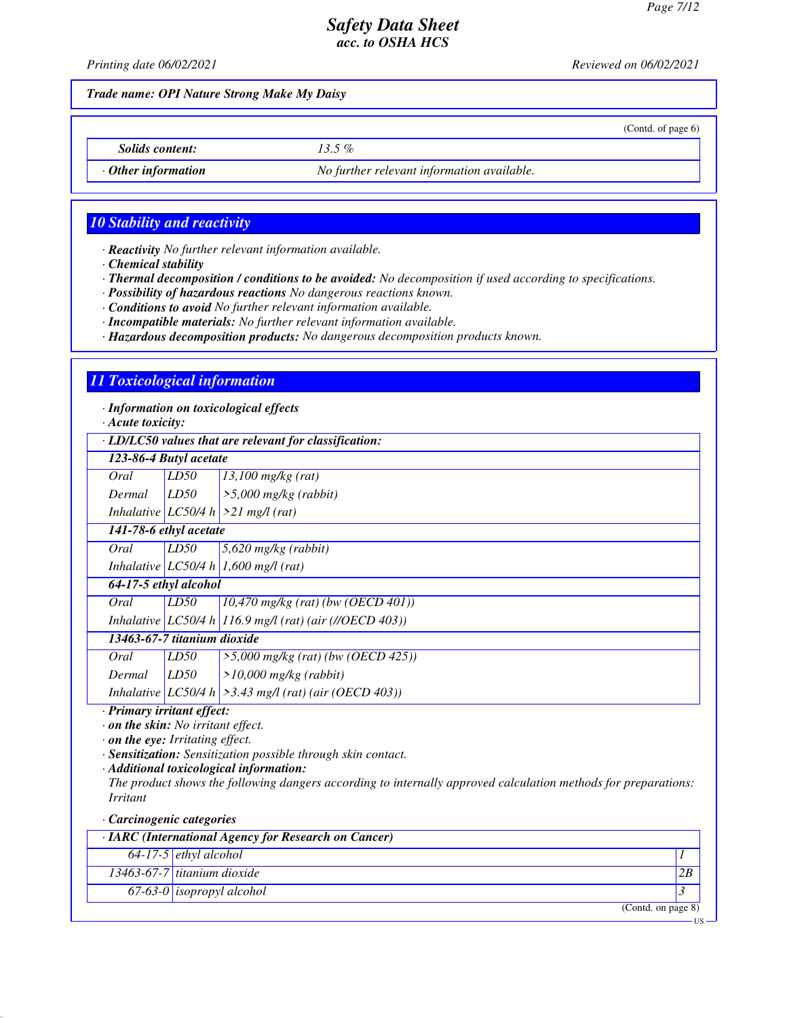(Contd. of page 6)

# *Safety Data Sheet acc. to OSHA HCS*

*Printing date 06/02/2021 Reviewed on 06/02/2021*

*Trade name: OPI Nature Strong Make My Daisy*

*Solids content: 13.5 %*

*· Other information No further relevant information available.*

## *10 Stability and reactivity*

*· Reactivity No further relevant information available.*

*· Chemical stability*

*· Thermal decomposition / conditions to be avoided: No decomposition if used according to specifications.*

*· Possibility of hazardous reactions No dangerous reactions known.*

*· Conditions to avoid No further relevant information available.*

*· Incompatible materials: No further relevant information available.*

*· Hazardous decomposition products: No dangerous decomposition products known.*

## *11 Toxicological information*

*· Information on toxicological effects*

*· Acute toxicity:*

*· LD/LC50 values that are relevant for classification:*

| · LD/LC50 values that are relevant for classification: |      |                                                             |
|--------------------------------------------------------|------|-------------------------------------------------------------|
| 123-86-4 Butyl acetate                                 |      |                                                             |
| Oral                                                   | LD50 | $13,100$ mg/kg (rat)                                        |
| Dermal                                                 | LD50 | $\geq 5,000$ mg/kg (rabbit)                                 |
|                                                        |      | Inhalative LC50/4 h $>21$ mg/l (rat)                        |
| 141-78-6 ethyl acetate                                 |      |                                                             |
| Oral                                                   | LD50 | $5,620$ mg/kg (rabbit)                                      |
|                                                        |      | Inhalative LC50/4 h 1,600 mg/l (rat)                        |
| 64-17-5 ethyl alcohol                                  |      |                                                             |
| Oral                                                   | LD50 | $10,470$ mg/kg (rat) (bw (OECD 401))                        |
|                                                        |      | Inhalative LC50/4 h 116.9 mg/l (rat) (air (//OECD 403))     |
| 13463-67-7 titanium dioxide                            |      |                                                             |
| Oral                                                   | LD50 | $\frac{1}{5,000}$ mg/kg (rat) (bw (OECD 425))               |
| Dermal                                                 | LD50 | $>10,000$ mg/kg (rabbit)                                    |
|                                                        |      | Inhalative LC50/4 h $\geq$ 3.43 mg/l (rat) (air (OECD 403)) |

*· Primary irritant effect:*

*· on the skin: No irritant effect.*

*· on the eye: Irritating effect.*

*· Sensitization: Sensitization possible through skin contact.*

*· Additional toxicological information:*

*The product shows the following dangers according to internally approved calculation methods for preparations: Irritant*

*· Carcinogenic categories*

| $\cdot$ IARC (International Agency for Research on Cancer) |  |
|------------------------------------------------------------|--|
| $64-17-5$ <i>ethyl alcohol</i>                             |  |
| 13463-67-7 titanium dioxide                                |  |
| 67-63-0 <i>isopropyl</i> alcohol                           |  |
| (Contd. on page 8)                                         |  |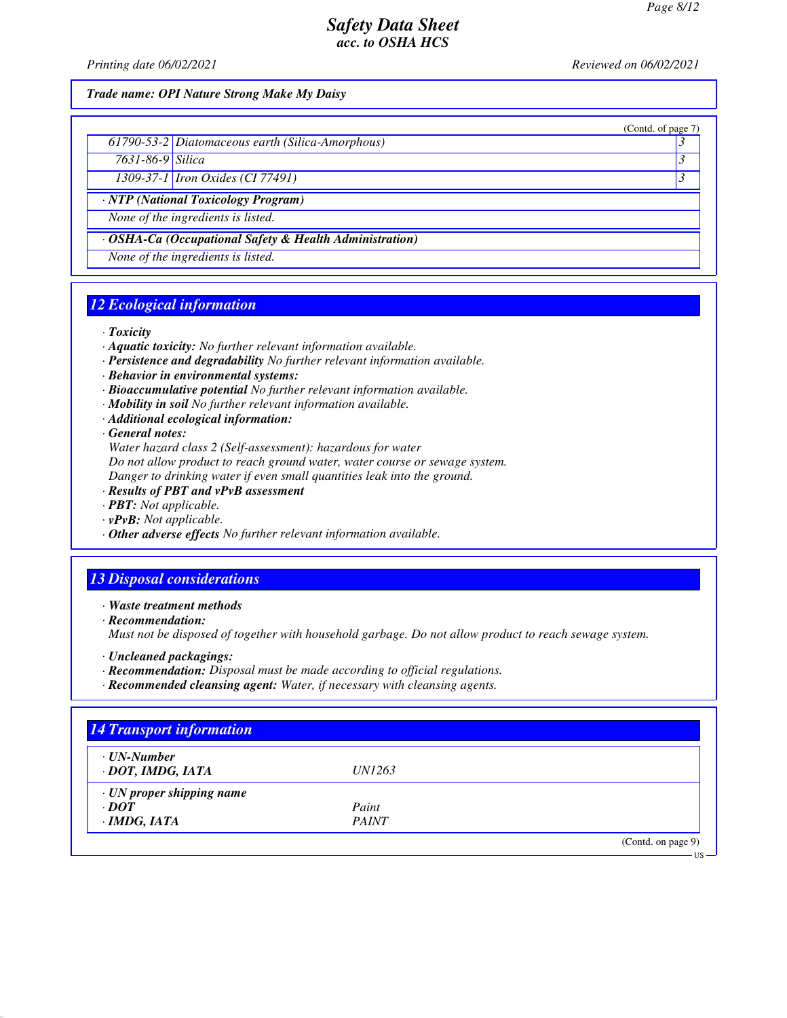(Contd. of page 7)

## *Safety Data Sheet acc. to OSHA HCS*

*Printing date 06/02/2021 Reviewed on 06/02/2021*

*Trade name: OPI Nature Strong Make My Daisy*

|  | 61790-53-2 Diatomaceous earth (Silica-Amorphous) |  |
|--|--------------------------------------------------|--|
|--|--------------------------------------------------|--|

*7631-86-9 Silica 3* 

*1309-37-1 Iron Oxides (CI 77491) 3* 

*· NTP (National Toxicology Program)*

*None of the ingredients is listed.*

*· OSHA-Ca (Occupational Safety & Health Administration)*

*None of the ingredients is listed.*

# *12 Ecological information*

*· Toxicity*

- *· Aquatic toxicity: No further relevant information available.*
- *· Persistence and degradability No further relevant information available.*
- *· Behavior in environmental systems:*
- *· Bioaccumulative potential No further relevant information available.*
- *· Mobility in soil No further relevant information available.*
- *· Additional ecological information:*

*· General notes:*

*Water hazard class 2 (Self-assessment): hazardous for water*

*Do not allow product to reach ground water, water course or sewage system.*

*Danger to drinking water if even small quantities leak into the ground.*

- *· Results of PBT and vPvB assessment*
- *· PBT: Not applicable.*
- *· vPvB: Not applicable.*
- *· Other adverse effects No further relevant information available.*

## *13 Disposal considerations*

*· Waste treatment methods*

*· Recommendation:*

*Must not be disposed of together with household garbage. Do not allow product to reach sewage system.*

- *· Uncleaned packagings:*
- *· Recommendation: Disposal must be made according to official regulations.*
- *· Recommended cleansing agent: Water, if necessary with cleansing agents.*

| $\cdot$ UN-Number               |               |  |
|---------------------------------|---------------|--|
| · DOT, IMDG, IATA               | <i>UN1263</i> |  |
| $\cdot$ UN proper shipping name |               |  |
| $\cdot$ DOT                     | Paint         |  |
| $\cdot$ IMDG, IATA              | <b>PAINT</b>  |  |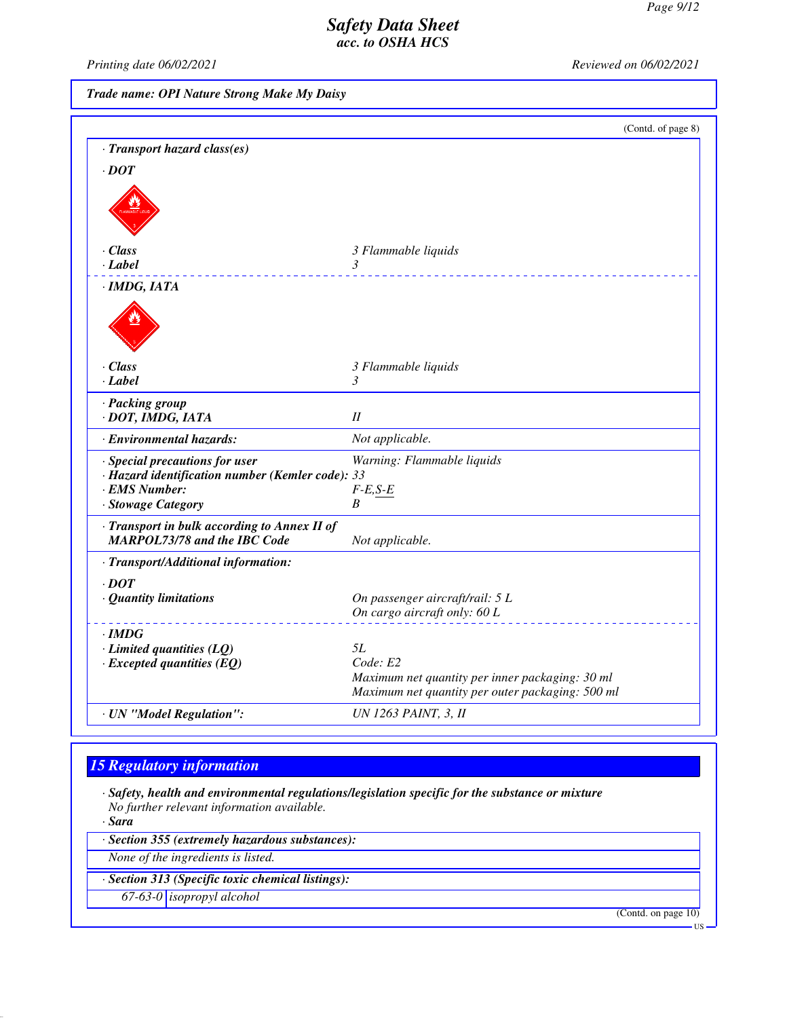*Printing date 06/02/2021 Reviewed on 06/02/2021*

*Trade name: OPI Nature Strong Make My Daisy*

|                                                                                                                           | (Contd. of page 8)                                                                                  |
|---------------------------------------------------------------------------------------------------------------------------|-----------------------------------------------------------------------------------------------------|
| · Transport hazard class(es)                                                                                              |                                                                                                     |
| $\cdot$ DOT                                                                                                               |                                                                                                     |
|                                                                                                                           |                                                                                                     |
| $\cdot$ Class                                                                                                             | 3 Flammable liquids                                                                                 |
| $\cdot$ Label                                                                                                             | 3                                                                                                   |
| $\cdot$ IMDG, IATA                                                                                                        |                                                                                                     |
|                                                                                                                           |                                                                                                     |
| $\cdot$ Class                                                                                                             | 3 Flammable liquids                                                                                 |
| $\cdot$ Label                                                                                                             | 3                                                                                                   |
| · Packing group<br>· DOT, IMDG, IATA                                                                                      | $I\!I$                                                                                              |
| · Environmental hazards:                                                                                                  | Not applicable.                                                                                     |
| · Special precautions for user<br>· Hazard identification number (Kemler code): 33<br>· EMS Number:<br>· Stowage Category | Warning: Flammable liquids<br>$F-E, S-E$<br>B                                                       |
| · Transport in bulk according to Annex II of<br><b>MARPOL73/78 and the IBC Code</b>                                       | Not applicable.                                                                                     |
| · Transport/Additional information:                                                                                       |                                                                                                     |
| $\cdot$ DOT                                                                                                               |                                                                                                     |
| · Quantity limitations                                                                                                    | On passenger aircraft/rail: 5 L                                                                     |
|                                                                                                                           | On cargo aircraft only: 60 L                                                                        |
| $\cdot$ IMDG                                                                                                              |                                                                                                     |
| $\cdot$ Limited quantities (LQ)                                                                                           | 5L                                                                                                  |
| $\cdot$ Excepted quantities (EQ)                                                                                          | Code: E2                                                                                            |
|                                                                                                                           | Maximum net quantity per inner packaging: 30 ml<br>Maximum net quantity per outer packaging: 500 ml |
|                                                                                                                           | <b>UN 1263 PAINT, 3, II</b>                                                                         |
| · UN "Model Regulation":                                                                                                  |                                                                                                     |

# *15 Regulatory information*

*· Safety, health and environmental regulations/legislation specific for the substance or mixture No further relevant information available.*

*· Sara*

*· Section 355 (extremely hazardous substances):*

*None of the ingredients is listed.*

*· Section 313 (Specific toxic chemical listings):*

*67-63-0 isopropyl alcohol*

(Contd. on page 10)

US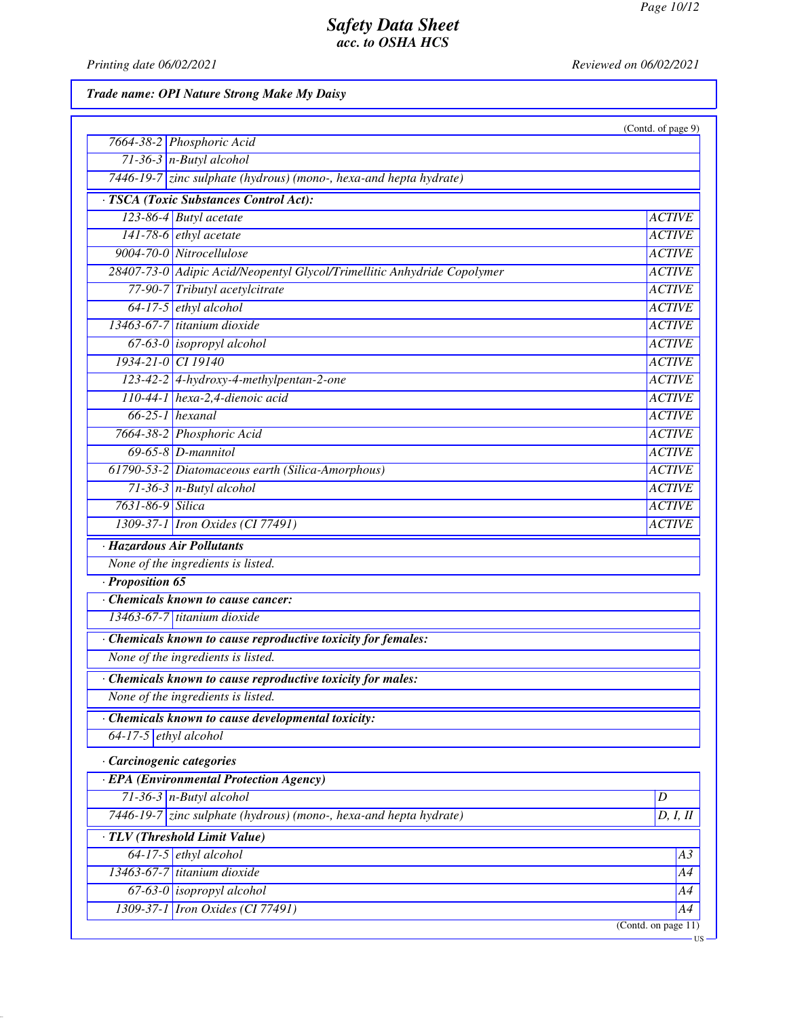*Printing date 06/02/2021 Reviewed on 06/02/2021*

*Trade name: OPI Nature Strong Make My Daisy*

|                                                                         | (Contd. of page 9)  |
|-------------------------------------------------------------------------|---------------------|
| 7664-38-2 Phosphoric Acid                                               |                     |
| $71-36-3$ n-Butyl alcohol                                               |                     |
| 7446-19-7 zinc sulphate (hydrous) (mono-, hexa-and hepta hydrate)       |                     |
| · TSCA (Toxic Substances Control Act):                                  |                     |
| 123-86-4 Butyl acetate                                                  | <b>ACTIVE</b>       |
| $141-78-6$ ethyl acetate                                                | <b>ACTIVE</b>       |
| 9004-70-0 Nitrocellulose                                                | <b>ACTIVE</b>       |
| 28407-73-0 Adipic Acid/Neopentyl Glycol/Trimellitic Anhydride Copolymer | <b>ACTIVE</b>       |
| 77-90-7 Tributyl acetylcitrate                                          | <b>ACTIVE</b>       |
| $64-17-5$ ethyl alcohol                                                 | <b>ACTIVE</b>       |
| $13463-67-7$ titanium dioxide                                           | <b>ACTIVE</b>       |
| 67-63-0 isopropyl alcohol                                               | <b>ACTIVE</b>       |
| 1934-21-0 CI 19140                                                      | <b>ACTIVE</b>       |
| 123-42-2 4-hydroxy-4-methylpentan-2-one                                 | <b>ACTIVE</b>       |
| $110-44-1$ hexa-2,4-dienoic acid                                        | <b>ACTIVE</b>       |
| $66-25-1$ hexanal                                                       | <b>ACTIVE</b>       |
| 7664-38-2 Phosphoric Acid                                               | <b>ACTIVE</b>       |
| $69-65-8$ <i>D</i> -mannitol                                            | <b>ACTIVE</b>       |
| 61790-53-2 Diatomaceous earth (Silica-Amorphous)                        | <b>ACTIVE</b>       |
| $71-36-3$ n-Butyl alcohol                                               | <b>ACTIVE</b>       |
| 7631-86-9 Silica                                                        | <b>ACTIVE</b>       |
| 1309-37-1 Iron Oxides (CI 77491)                                        | <b>ACTIVE</b>       |
| · Hazardous Air Pollutants                                              |                     |
| None of the ingredients is listed.                                      |                     |
| $\cdot$ Proposition 65                                                  |                     |
| Chemicals known to cause cancer:                                        |                     |
| 13463-67-7 titanium dioxide                                             |                     |
| Chemicals known to cause reproductive toxicity for females:             |                     |
| None of the ingredients is listed.                                      |                     |
| · Chemicals known to cause reproductive toxicity for males:             |                     |
| None of the ingredients is listed.                                      |                     |
| Chemicals known to cause developmental toxicity:                        |                     |
| $64-17-5$ ethyl alcohol                                                 |                     |
| Carcinogenic categories                                                 |                     |
| · EPA (Environmental Protection Agency)                                 |                     |
| $71-36-3$ n-Butyl alcohol                                               | D                   |
| 7446-19-7 zinc sulphate (hydrous) (mono-, hexa-and hepta hydrate)       | D, I, II            |
| · TLV (Threshold Limit Value)                                           |                     |
| $64-17-5$ ethyl alcohol                                                 | A3                  |
| $13463-67-7$ titanium dioxide                                           | A4                  |
| $67-63-0$ isopropyl alcohol                                             | A4                  |
| 1309-37-1 <i>Iron Oxides</i> (CI 77491)                                 | A4                  |
|                                                                         | (Contd. on page 11) |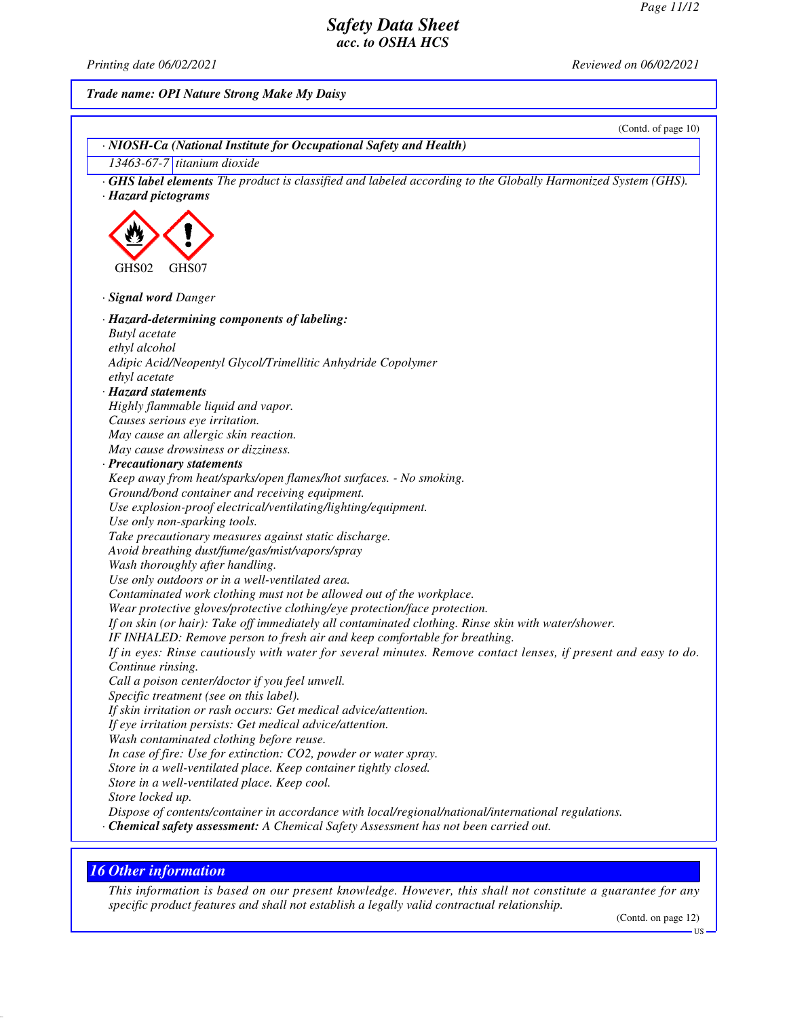*Printing date 06/02/2021 Reviewed on 06/02/2021*

*Trade name: OPI Nature Strong Make My Daisy*

|                                                                                                                                                                                             | (Contd. of page 10) |
|---------------------------------------------------------------------------------------------------------------------------------------------------------------------------------------------|---------------------|
| · NIOSH-Ca (National Institute for Occupational Safety and Health)                                                                                                                          |                     |
| 13463-67-7 titanium dioxide                                                                                                                                                                 |                     |
| <b>GHS label elements</b> The product is classified and labeled according to the Globally Harmonized System (GHS).                                                                          |                     |
| · Hazard pictograms                                                                                                                                                                         |                     |
|                                                                                                                                                                                             |                     |
|                                                                                                                                                                                             |                     |
|                                                                                                                                                                                             |                     |
|                                                                                                                                                                                             |                     |
| GHS02<br>GHS07                                                                                                                                                                              |                     |
|                                                                                                                                                                                             |                     |
| · Signal word Danger                                                                                                                                                                        |                     |
| · Hazard-determining components of labeling:                                                                                                                                                |                     |
| <b>Butyl</b> acetate                                                                                                                                                                        |                     |
| ethyl alcohol                                                                                                                                                                               |                     |
| Adipic Acid/Neopentyl Glycol/Trimellitic Anhydride Copolymer                                                                                                                                |                     |
| ethyl acetate                                                                                                                                                                               |                     |
| · Hazard statements                                                                                                                                                                         |                     |
| Highly flammable liquid and vapor.                                                                                                                                                          |                     |
| Causes serious eye irritation.                                                                                                                                                              |                     |
| May cause an allergic skin reaction.                                                                                                                                                        |                     |
| May cause drowsiness or dizziness.                                                                                                                                                          |                     |
| · Precautionary statements                                                                                                                                                                  |                     |
| Keep away from heat/sparks/open flames/hot surfaces. - No smoking.                                                                                                                          |                     |
| Ground/bond container and receiving equipment.                                                                                                                                              |                     |
| Use explosion-proof electrical/ventilating/lighting/equipment.                                                                                                                              |                     |
| Use only non-sparking tools.                                                                                                                                                                |                     |
| Take precautionary measures against static discharge.                                                                                                                                       |                     |
| Avoid breathing dust/fume/gas/mist/vapors/spray                                                                                                                                             |                     |
| Wash thoroughly after handling.                                                                                                                                                             |                     |
| Use only outdoors or in a well-ventilated area.                                                                                                                                             |                     |
| Contaminated work clothing must not be allowed out of the workplace.                                                                                                                        |                     |
| Wear protective gloves/protective clothing/eye protection/face protection.                                                                                                                  |                     |
| If on skin (or hair): Take off immediately all contaminated clothing. Rinse skin with water/shower.                                                                                         |                     |
| IF INHALED: Remove person to fresh air and keep comfortable for breathing.                                                                                                                  |                     |
| If in eyes: Rinse cautiously with water for several minutes. Remove contact lenses, if present and easy to do.                                                                              |                     |
| Continue rinsing.                                                                                                                                                                           |                     |
| Call a poison center/doctor if you feel unwell.                                                                                                                                             |                     |
| Specific treatment (see on this label).                                                                                                                                                     |                     |
| If skin irritation or rash occurs: Get medical advice/attention.                                                                                                                            |                     |
| If eye irritation persists: Get medical advice/attention.                                                                                                                                   |                     |
| Wash contaminated clothing before reuse.                                                                                                                                                    |                     |
| In case of fire: Use for extinction: CO2, powder or water spray.                                                                                                                            |                     |
| Store in a well-ventilated place. Keep container tightly closed.                                                                                                                            |                     |
| Store in a well-ventilated place. Keep cool.                                                                                                                                                |                     |
| Store locked up.                                                                                                                                                                            |                     |
| Dispose of contents/container in accordance with local/regional/national/international regulations.<br>· Chemical safety assessment: A Chemical Safety Assessment has not been carried out. |                     |
|                                                                                                                                                                                             |                     |
|                                                                                                                                                                                             |                     |

# *16 Other information*

*This information is based on our present knowledge. However, this shall not constitute a guarantee for any specific product features and shall not establish a legally valid contractual relationship.*

(Contd. on page 12)

US